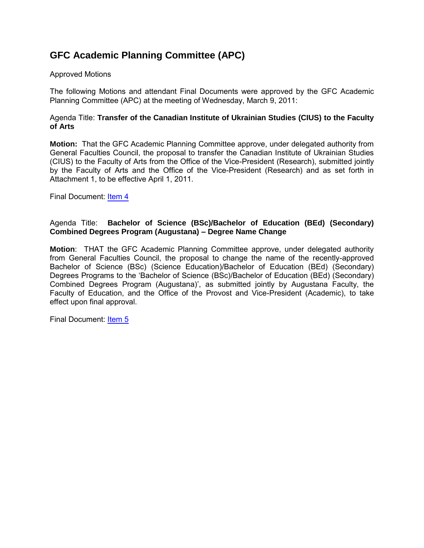### **GFC Academic Planning Committee (APC)**

#### Approved Motions

The following Motions and attendant Final Documents were approved by the GFC Academic Planning Committee (APC) at the meeting of Wednesday, March 9, 2011:

#### Agenda Title: **Transfer of the Canadian Institute of Ukrainian Studies (CIUS) to the Faculty of Arts**

**Motion:** That the GFC Academic Planning Committee approve, under delegated authority from General Faculties Council, the proposal to transfer the Canadian Institute of Ukrainian Studies (CIUS) to the Faculty of Arts from the Office of the Vice-President (Research), submitted jointly by the Faculty of Arts and the Office of the Vice-President (Research) and as set forth in Attachment 1, to be effective April 1, 2011.

Final Document: [Item 4](#page-1-0)

#### Agenda Title: **Bachelor of Science (BSc)/Bachelor of Education (BEd) (Secondary) Combined Degrees Program (Augustana) – Degree Name Change**

**Motion**: THAT the GFC Academic Planning Committee approve, under delegated authority from General Faculties Council, the proposal to change the name of the recently-approved Bachelor of Science (BSc) (Science Education)/Bachelor of Education (BEd) (Secondary) Degrees Programs to the 'Bachelor of Science (BSc)/Bachelor of Education (BEd) (Secondary) Combined Degrees Program (Augustana)', as submitted jointly by Augustana Faculty, the Faculty of Education, and the Office of the Provost and Vice-President (Academic), to take effect upon final approval.

Final Document: [Item 5](#page-14-0)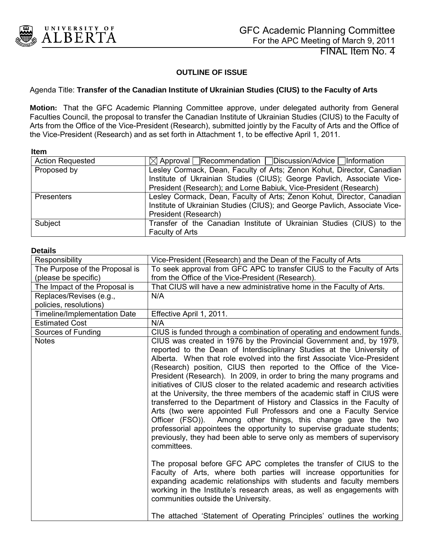<span id="page-1-0"></span>

FINAL Item No. 4

#### **OUTLINE OF ISSUE**

#### Agenda Title: **Transfer of the Canadian Institute of Ukrainian Studies (CIUS) to the Faculty of Arts**

**Motion:** That the GFC Academic Planning Committee approve, under delegated authority from General Faculties Council, the proposal to transfer the Canadian Institute of Ukrainian Studies (CIUS) to the Faculty of Arts from the Office of the Vice-President (Research), submitted jointly by the Faculty of Arts and the Office of the Vice-President (Research) and as set forth in Attachment 1, to be effective April 1, 2011.

**Item** 

| <b>Action Requested</b> | $\boxtimes$ Approval Recommendation Discussion/Advice Information          |  |  |  |  |  |  |  |
|-------------------------|----------------------------------------------------------------------------|--|--|--|--|--|--|--|
| Proposed by             | Lesley Cormack, Dean, Faculty of Arts; Zenon Kohut, Director, Canadian     |  |  |  |  |  |  |  |
|                         | Institute of Ukrainian Studies (CIUS); George Pavlich, Associate Vice-     |  |  |  |  |  |  |  |
|                         | President (Research); and Lorne Babiuk, Vice-President (Research)          |  |  |  |  |  |  |  |
| <b>Presenters</b>       | Lesley Cormack, Dean, Faculty of Arts; Zenon Kohut, Director, Canadian     |  |  |  |  |  |  |  |
|                         | Institute of Ukrainian Studies (CIUS); and George Pavlich, Associate Vice- |  |  |  |  |  |  |  |
|                         | President (Research)                                                       |  |  |  |  |  |  |  |
| Subject                 | Transfer of the Canadian Institute of Ukrainian Studies (CIUS) to the      |  |  |  |  |  |  |  |
|                         | Faculty of Arts                                                            |  |  |  |  |  |  |  |

#### **Details**

| Responsibility                 | Vice-President (Research) and the Dean of the Faculty of Arts                                                                                                                                                                                                                                                                                                                                                                                                                                                                                                                                                                                                                                                                                                                                                                                                                                                             |
|--------------------------------|---------------------------------------------------------------------------------------------------------------------------------------------------------------------------------------------------------------------------------------------------------------------------------------------------------------------------------------------------------------------------------------------------------------------------------------------------------------------------------------------------------------------------------------------------------------------------------------------------------------------------------------------------------------------------------------------------------------------------------------------------------------------------------------------------------------------------------------------------------------------------------------------------------------------------|
| The Purpose of the Proposal is | To seek approval from GFC APC to transfer CIUS to the Faculty of Arts                                                                                                                                                                                                                                                                                                                                                                                                                                                                                                                                                                                                                                                                                                                                                                                                                                                     |
| (please be specific)           | from the Office of the Vice-President (Research).                                                                                                                                                                                                                                                                                                                                                                                                                                                                                                                                                                                                                                                                                                                                                                                                                                                                         |
| The Impact of the Proposal is  | That CIUS will have a new administrative home in the Faculty of Arts.                                                                                                                                                                                                                                                                                                                                                                                                                                                                                                                                                                                                                                                                                                                                                                                                                                                     |
| Replaces/Revises (e.g.,        | N/A                                                                                                                                                                                                                                                                                                                                                                                                                                                                                                                                                                                                                                                                                                                                                                                                                                                                                                                       |
| policies, resolutions)         |                                                                                                                                                                                                                                                                                                                                                                                                                                                                                                                                                                                                                                                                                                                                                                                                                                                                                                                           |
| Timeline/Implementation Date   | Effective April 1, 2011.                                                                                                                                                                                                                                                                                                                                                                                                                                                                                                                                                                                                                                                                                                                                                                                                                                                                                                  |
| <b>Estimated Cost</b>          | N/A                                                                                                                                                                                                                                                                                                                                                                                                                                                                                                                                                                                                                                                                                                                                                                                                                                                                                                                       |
| Sources of Funding             | CIUS is funded through a combination of operating and endowment funds.                                                                                                                                                                                                                                                                                                                                                                                                                                                                                                                                                                                                                                                                                                                                                                                                                                                    |
| <b>Notes</b>                   | CIUS was created in 1976 by the Provincial Government and, by 1979,<br>reported to the Dean of Interdisciplinary Studies at the University of<br>Alberta. When that role evolved into the first Associate Vice-President<br>(Research) position, CIUS then reported to the Office of the Vice-<br>President (Research). In 2009, in order to bring the many programs and<br>initiatives of CIUS closer to the related academic and research activities<br>at the University, the three members of the academic staff in CIUS were<br>transferred to the Department of History and Classics in the Faculty of<br>Arts (two were appointed Full Professors and one a Faculty Service<br>Among other things, this change gave the two<br>Officer (FSO)).<br>professorial appointees the opportunity to supervise graduate students;<br>previously, they had been able to serve only as members of supervisory<br>committees. |
|                                | The proposal before GFC APC completes the transfer of CIUS to the<br>Faculty of Arts, where both parties will increase opportunities for<br>expanding academic relationships with students and faculty members<br>working in the Institute's research areas, as well as engagements with<br>communities outside the University.                                                                                                                                                                                                                                                                                                                                                                                                                                                                                                                                                                                           |
|                                | The attached 'Statement of Operating Principles' outlines the working                                                                                                                                                                                                                                                                                                                                                                                                                                                                                                                                                                                                                                                                                                                                                                                                                                                     |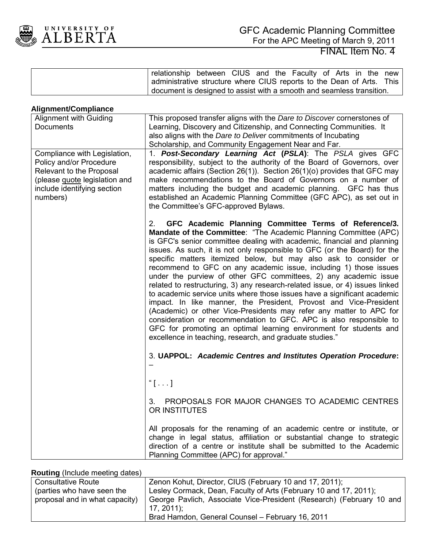

|                                                                                                                                                                 | relationship between CIUS and the Faculty of Arts in the new<br>administrative structure where CIUS reports to the Dean of Arts.<br>This<br>document is designed to assist with a smooth and seamless transition.                                                                                                                                                                                                                                                                                                                                                                                                                                                                                                                                                                                                                                                                                                                                                                                                         |
|-----------------------------------------------------------------------------------------------------------------------------------------------------------------|---------------------------------------------------------------------------------------------------------------------------------------------------------------------------------------------------------------------------------------------------------------------------------------------------------------------------------------------------------------------------------------------------------------------------------------------------------------------------------------------------------------------------------------------------------------------------------------------------------------------------------------------------------------------------------------------------------------------------------------------------------------------------------------------------------------------------------------------------------------------------------------------------------------------------------------------------------------------------------------------------------------------------|
| <b>Alignment/Compliance</b>                                                                                                                                     |                                                                                                                                                                                                                                                                                                                                                                                                                                                                                                                                                                                                                                                                                                                                                                                                                                                                                                                                                                                                                           |
| <b>Alignment with Guiding</b><br><b>Documents</b>                                                                                                               | This proposed transfer aligns with the Dare to Discover cornerstones of<br>Learning, Discovery and Citizenship, and Connecting Communities. It<br>also aligns with the Dare to Deliver commitments of Incubating<br>Scholarship, and Community Engagement Near and Far.                                                                                                                                                                                                                                                                                                                                                                                                                                                                                                                                                                                                                                                                                                                                                   |
| Compliance with Legislation,<br>Policy and/or Procedure<br>Relevant to the Proposal<br>(please quote legislation and<br>include identifying section<br>numbers) | 1. Post-Secondary Learning Act (PSLA): The PSLA gives GFC<br>responsibility, subject to the authority of the Board of Governors, over<br>academic affairs (Section 26(1)). Section 26(1)(o) provides that GFC may<br>make recommendations to the Board of Governors on a number of<br>matters including the budget and academic planning. GFC has thus<br>established an Academic Planning Committee (GFC APC), as set out in<br>the Committee's GFC-approved Bylaws.                                                                                                                                                                                                                                                                                                                                                                                                                                                                                                                                                     |
|                                                                                                                                                                 | GFC Academic Planning Committee Terms of Reference/3.<br>$2_{-}$<br>Mandate of the Committee: "The Academic Planning Committee (APC)<br>is GFC's senior committee dealing with academic, financial and planning<br>issues. As such, it is not only responsible to GFC (or the Board) for the<br>specific matters itemized below, but may also ask to consider or<br>recommend to GFC on any academic issue, including 1) those issues<br>under the purview of other GFC committees, 2) any academic issue<br>related to restructuring, 3) any research-related issue, or 4) issues linked<br>to academic service units where those issues have a significant academic<br>impact. In like manner, the President, Provost and Vice-President<br>(Academic) or other Vice-Presidents may refer any matter to APC for<br>consideration or recommendation to GFC. APC is also responsible to<br>GFC for promoting an optimal learning environment for students and<br>excellence in teaching, research, and graduate studies." |
|                                                                                                                                                                 | 3. UAPPOL: Academic Centres and Institutes Operation Procedure:                                                                                                                                                                                                                                                                                                                                                                                                                                                                                                                                                                                                                                                                                                                                                                                                                                                                                                                                                           |
|                                                                                                                                                                 | $``[ \; . \; . \; . \; ]$                                                                                                                                                                                                                                                                                                                                                                                                                                                                                                                                                                                                                                                                                                                                                                                                                                                                                                                                                                                                 |
|                                                                                                                                                                 | PROPOSALS FOR MAJOR CHANGES TO ACADEMIC CENTRES<br>3.<br>OR INSTITUTES                                                                                                                                                                                                                                                                                                                                                                                                                                                                                                                                                                                                                                                                                                                                                                                                                                                                                                                                                    |
|                                                                                                                                                                 | All proposals for the renaming of an academic centre or institute, or<br>change in legal status, affiliation or substantial change to strategic<br>direction of a centre or institute shall be submitted to the Academic<br>Planning Committee (APC) for approval."                                                                                                                                                                                                                                                                                                                                                                                                                                                                                                                                                                                                                                                                                                                                                       |

**Routing** (Include meeting dates)

| <b>Consultative Route</b>      | Zenon Kohut, Director, CIUS (February 10 and 17, 2011);              |  |  |  |  |  |
|--------------------------------|----------------------------------------------------------------------|--|--|--|--|--|
| (parties who have seen the     | Lesley Cormack, Dean, Faculty of Arts (February 10 and 17, 2011);    |  |  |  |  |  |
| proposal and in what capacity) | George Pavlich, Associate Vice-President (Research) (February 10 and |  |  |  |  |  |
|                                | $17, 2011$ :                                                         |  |  |  |  |  |
|                                | Brad Hamdon, General Counsel - February 16, 2011                     |  |  |  |  |  |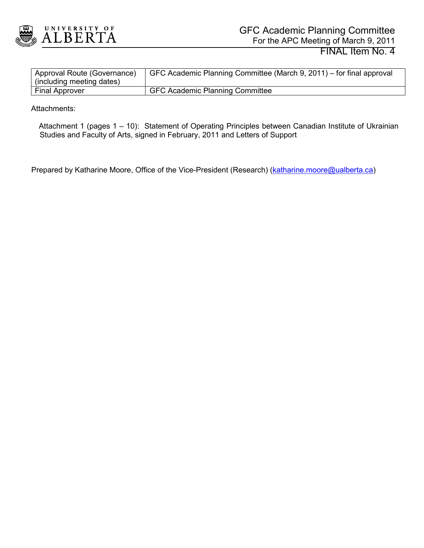

| Approval Route (Governance)<br>(including meeting dates) | GFC Academic Planning Committee (March 9, 2011) – for final approval |
|----------------------------------------------------------|----------------------------------------------------------------------|
| <b>Final Approver</b>                                    | <b>GFC Academic Planning Committee</b>                               |

Attachments:

 Attachment 1 (pages 1 – 10): Statement of Operating Principles between Canadian Institute of Ukrainian Studies and Faculty of Arts, signed in February, 2011 and Letters of Support

Prepared by Katharine Moore, Office of the Vice-President (Research) [\(katharine.moore@ualberta.ca\)](mailto:katharine.moore@ualberta.ca)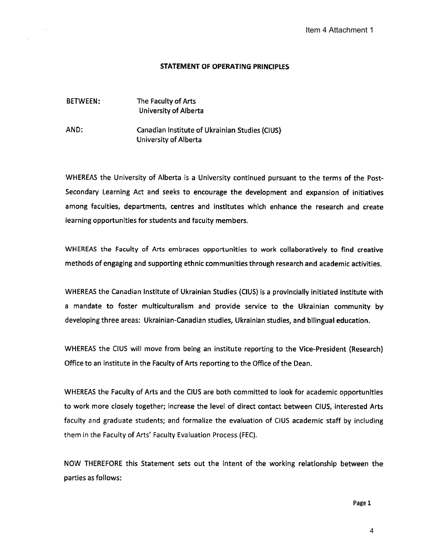#### STATEMENT OF OPERATING PRINCIPLES

#### BETWEEN: The Faculty of Arts University of Alberta

AND: Canadian Institute of Ukrainian Studies (CIUS) University of Alberta

WHEREAS the University of Alberta is <sup>a</sup> University continued pursuant to the terms of the Post-Secondary Learning Act and seeks to encourage the development and expansion of initiatives among faculties, departments, centres and institutes which enhance the research and create learning opportunities for students and faculty members.

WHEREAS the Faculty of Arts embraces opportunities to work collaboratively to find creative methods of engaging and supporting ethnic communities through research and academic activities.

WHEREAS the Canadian Institute of Ukrainian Studies (CIUS) is <sup>a</sup> provincially initiated institute with <sup>a</sup> mandate to foster multiculturalism and provide service to the Ukrainian community by developing three areas: Ukrainian-Canadian studies, Ukrainian studies, and bilingual education.

WHEREAS the CIUS will move from being an institute reporting to the Vice-President (Research) Office to an institute in the Faculty of Arts reporting to the Office of the Dean.

WHEREAS the Faculty of Arts and the CIUS are both committed to look for academic opportunities to work more closely together; increase the level of direct contact between CIUS, interested Arts faculty and graduate students; and formalize the evaluation of CIUS academic staff by including them in the Faculty of Arts' Faculty Evaluation Process (FEC). Item 4 Attachment 1<br>
the terms of the Pc<br>
expansion of initiative<br>
ie research and creat<br>
and academic activitive<br>
y initiated institute w<br>
rainian community<br>
bilingual education.<br>
ce-President (Resear<br>
n.<br>
academic opport

NOW THEREFORE this Statement sets out the intent of the working relationship between the parties as follows:

Page 1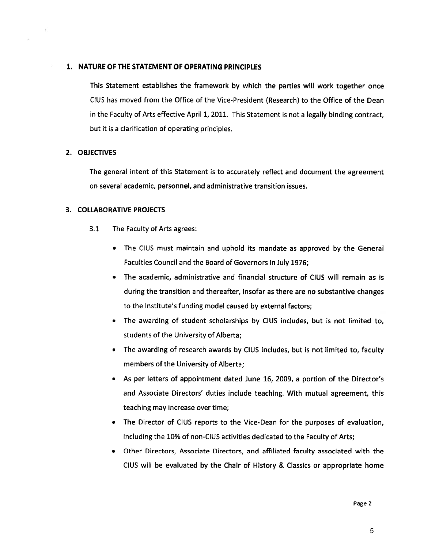#### 1. NATURE OF THE STATEMENT OF OPERATING PRINCIPLES

This Statement establishes the framework by which the parties will work together once CIUS has moved from the Office of the Vice-President (Research) to the Office of the Dean in the Faculty of Arts effective April 1, 2011. This Statement is not <sup>a</sup> legally binding contract, but it is <sup>a</sup> clarification of operating principles.

#### 2. OBJECTIVES

The general intent of this Statement is to accurately reflect and document the agreement on several academic, personnel, and administrative transition issues.

#### 3. COLLABORATIVE PROJECTS

- 3.1 The Faculty of Arts agrees:
	- The CIUS must maintain and uphold its mandate as approved by the General Faculties Council and the Board of Governors in July 1976;
	- The academic, administrative and financial structure of CIUS will remain as is during the transition and thereafter, insofar as there are no substantive changes to the Institute's funding model caused by external factors;
	- The awarding of student scholarships by CIUS includes, but is not limited to, students of the University of Alberta;
	- The awarding of research awards by CIUS includes, but is not limited to, faculty members of the University of Alberta;
	- As per letters of appointment dated June 16, 2009, <sup>a</sup> portion of the Director's and Associate Directors' duties include teaching. With mutual agreement, this teaching may increase over time;
	- The Director of CIUS reports to the Vice-Dean for the purposes of evaluation, including the 10% of non-CIUS activities dedicated to the Faculty of Arts;
	- Other Directors, Associate Directors, and affiliated faculty associated with the CIUS will be evaluated by the Chair of History & Classics or appropriate home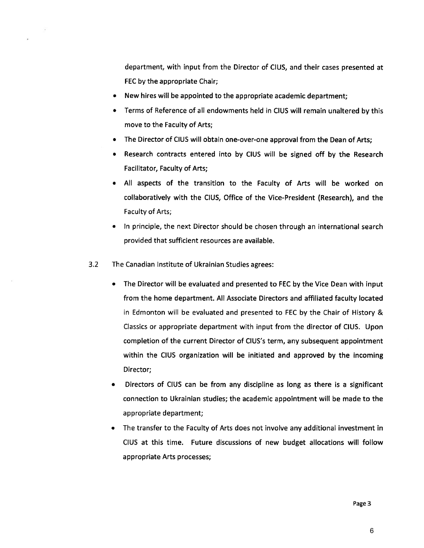department, with input from the Director of CIUS, and their cases presented at FEC by the appropriate Chair;

- New hires will be appointed to the appropriate academic department;
- Terms of Reference of all endowments held in CIUS will remain unaltered by this move to the Faculty of Arts;
- The Director of CIUS will obtain one-over-one approval from the Dean of Arts;
- Research contracts entered into by CIUS will be signed off by the Research Facilitator, Faculty of Arts;
- All aspects of the transition to the Faculty of Arts will be worked on collaboratively with the CIUS, Office of the Vice-President (Research), and the Faculty of Arts;
- In principle, the next Director should be chosen through an international search provided that sufficient resources are available.
- 3.2 The Canadian Institute of Ukrainian Studies agrees:
	- The Director will be evaluated and presented to FEC by the Vice Dean with input from the home department. All Associate Directors and affiliated faculty located in Edmonton will be evaluated and presented to FEC by the Chair of History & Classics or appropriate department with input from the director of CIUS. Upon completion of the current Director of CIUS's term, any subsequent appointment within the CIUS organization will be initiated and approved by the incoming Director;
	- Directors of CIUS can be from any discipline as long as there is <sup>a</sup> significant connection to Ukrainian studies; the academic appointment will be made to the appropriate department;
	- The transfer to the Faculty of Arts does not involve any additional investment in CIUS at this time. Future discussions of new budget allocations will follow appropriate Arts processes;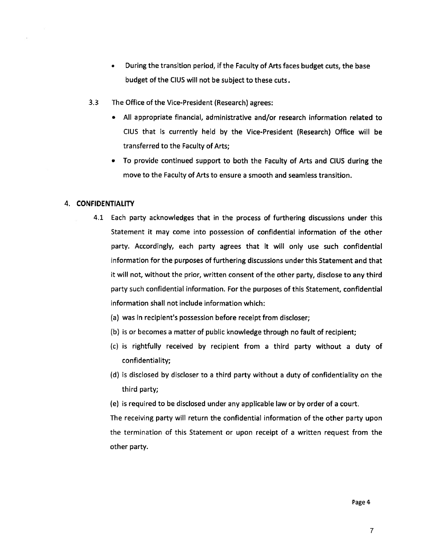- During the transition period, if the Faculty of Arts faces budget cuts, the base budget of the CIUS will not be subject to these cuts.
- 3.3 The Office of the Vice-President (Research) agrees:
	- All appropriate financial, administrative and/or research information related to CIUS that is currently held by the Vice-President (Research) Office will be transferred to the Faculty of Arts;
	- To provide continued support to both the Faculty of Arts and CIUS during the move to the Faculty of Arts to ensure <sup>a</sup> smooth and seamless transition.

#### 4. CONFIDENTIALITY

- 4.1 Each party acknowledges that in the process of furthering discussions under this Statement it may come into possession of confidential information of the other party. Accordingly, each party agrees that it will only use such confidential information for the purposes of furthering discussions under this Statement and that it will not, without the prior, written consent of the other party, disclose to any third party such confidential information. For the purposes of this Statement, confidential information shall not include information which:
	- (a) was in recipient's possession before receipt from discloser;
	- (b) is or becomes <sup>a</sup> matter of public knowledge through no fault of recipient;
	- (c) is rightfully received by recipient from <sup>a</sup> third party without <sup>a</sup> duty of confidentiality;
	- (d) is disclosed by discloser to <sup>a</sup> third party without <sup>a</sup> duty of confidentiality on the third party;
	- (e) is required to be disclosed under any applicable law or by order of <sup>a</sup> court.

The receiving party will return the confidential information of the other party upon the termination of this Statement or upon receipt of <sup>a</sup> written request from the other party.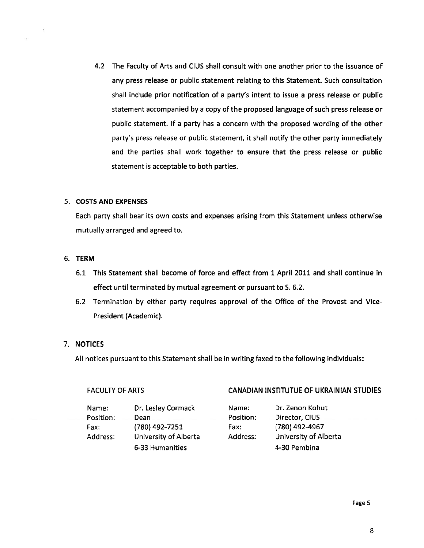4.2 The Faculty of Arts and CIUS shall consult with one another prior to the issuance of any press release or public statement relating to this Statement. Such consultation shall include prior notification of <sup>a</sup> party's intent to issue <sup>a</sup> press release or public statement accompanied by <sup>a</sup> copy of the proposed language of such press release or public statement. If <sup>a</sup> party has <sup>a</sup> concern with the proposed wording of the other party's press release or public statement, it shall notify the other party immediately and the parties shall work together to ensure that the press release or public statement is acceptable to both parties.

#### 5. COSTS AND EXPENSES

Each party shall bear its own costs and expenses arising from this Statement unless otherwise mutually arranged and agreed to.

#### 6. TERM

- 6.1 This Statement shall become of force and effect from <sup>1</sup> April <sup>2011</sup> and shall continue in effect until terminated by mutual agreement or pursuant to S. 6.2.
- 6.2 Termination by either party requires approval of the Office of the Provost and Vice-President (Academic).

#### 7. NOTICES

All notices pursuant to this Statement shall be in writing faxed to the following individuals:

### FACULTY OF ARTS **CANADIAN INSTITUTUE OF UKRAINIAN STUDIES**

| Name:     | Dr. Lesley Cormack    | Name:     | Dr. Zenon Kohut       |
|-----------|-----------------------|-----------|-----------------------|
| Position: | Dean                  | Position: | Director, CIUS        |
| Fax:      | (780) 492-7251        | Fax:      | (780) 492-4967        |
| Address:  | University of Alberta | Address:  | University of Alberta |
|           | 6-33 Humanities       |           | 4-30 Pembina          |

Page 5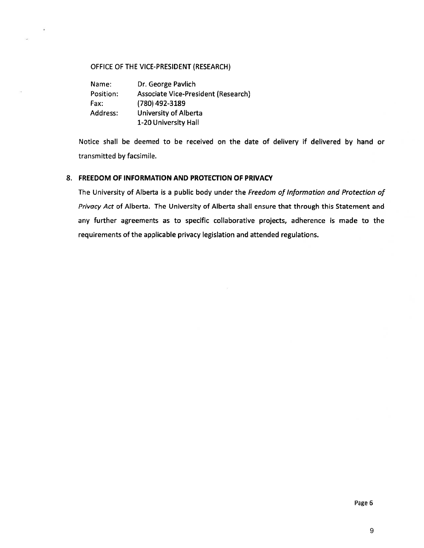#### OFFICE OF THE VICE-PRESIDENT (RESEARCH)

Name: Dr. George Pavlich Position: Associate Vice-President (Research) Fax: (780) 492-3189 Address: University of Alberta 1-20 University Hall

Notice shall be deemed to be received on the date of delivery if delivered by hand or transmitted by facsimile.

#### 8. FREEDOM OF INFORMATION AND PROTECTION OF PRIVACY

The University of Alberta is a public body under the Freedom of Information and Protection of Privacy Act of Alberta. The University of Alberta shall ensure that through this Statement and any further agreements as to specific collaborative projects, adherence is made to the requirements of the applicable privacy legislation and attended regulations.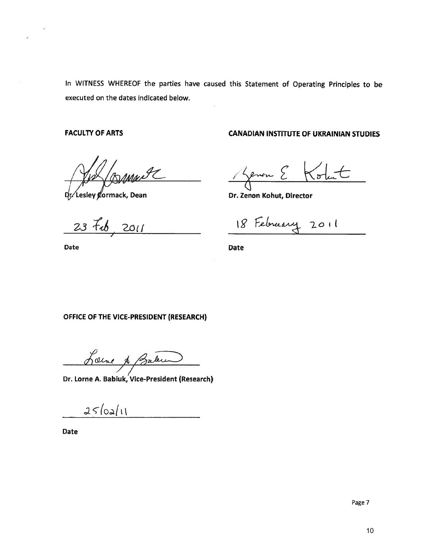In WITNESS WHEREOF the parties have caused this Statement of Operating Principles to be executed on the dates indicated below.

FACULTY OF ARTS

l*ttje* ya

Lesley **g**ormack, Dean

 $23 - 76$  $2011$ 

Date

CANADIAN INSTITUTE OF UKRAINIAN STUDIES

**Renon E**  $K_{\sigma}$ 

Dr. Zenon Kohut, Director

18 February 2011

Date

OFFICE OF THE VICE-PRESIDENT (RESEARCH)

Loine & Baker

Dr. Lorne A. Babiuk, Vice-President (Research)

 $25/02/11$ 

Date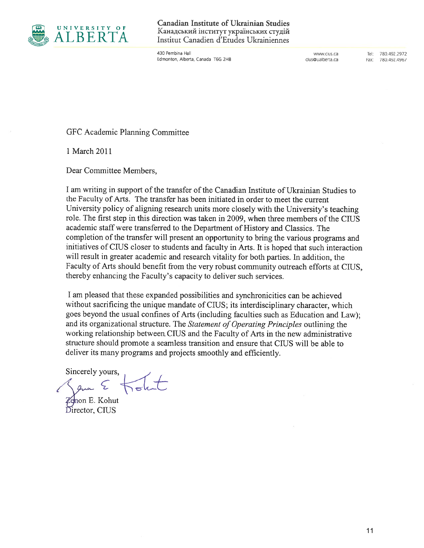

 $\begin{array}{lll} \text{U N I V E R S I T Y OF} & \text{Canadian Institute of Ukrainian Studies} \\ \text{A L B E R T A} & \text{Institut Canadian d'Etudes Ukrainiennes} \end{array}$ Institut Canadien d'Etudes Ukrainiennes

> 430 Pembina Hall www.cius.ca Tel: 780.492.2972 Edmonton, Alberta, Canada T6G 2H8 cius@ualberta.ca Fax: 780.492.4967

GFC Academic Planning Committee

1 March 2011

Dear Committee Members,

<sup>I</sup> am writing in support of the transfer of the Canadian Institute of Ukrainian Studies to the Faculty of Arts. The transfer has been initiated in order to meet the current University policy of aligning research units more closely with the University's teaching role. The first step in this direction was taken in 2009, when three members of the CIIJS academic staff were transferred to the Department of History and Classics. The completion of the transfer will present an opportunity to bring the various programs and initiatives of CIIJS closer to students and faculty in Arts. It is hoped that such interaction will result in greater academic and research vitality for both parties. In addition, the Faculty of Arts should benefit from the very robust community outreach efforts at CRJS, thereby enhancing the Faculty's capacity to deliver such services.

<sup>I</sup> am pleased that these expanded possibilities and synchronicities can be achieved without sacrificing the unique mandate of CIUS; its interdisciplinary character, which goes beyond the usual confines of Arts (including faculties such as Education and Law); and its organizational structure. The Statement of Operating Principles outlining the working relationship between. CIUS and the Faculty of Arts in the new administrative structure should promote <sup>a</sup> seamless transition and ensure that CRJS will be able to deliver its many programs and projects smoothly and efficiently.

Sincerely yours,

Sam E Zenon E. Kohut

Director, CIUS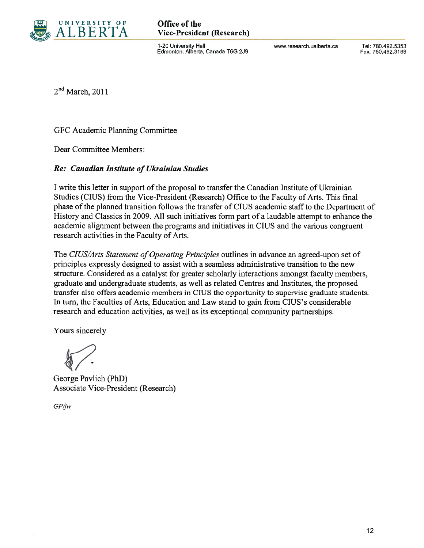

# $A L B E R T A$  Vice-President (Research)

1-20 University Hall www.research.ualberta.ca Tel: 780.492.5353 Edmonton, Alberta, Canada T6G 2J9 Fax: 780.492.3189

 $2<sup>nd</sup> March, 2011$ 

GFC Academic Planning Committee

Dear Committee Members:

### Re: Canadian Institute of Ukrainian Studies

I write this letter in support of the proposal to transfer the Canadian Institute of Ukrainian Studies (CIUS) from the Vice-President (Research) Office to the Faculty of Arts. This final phase of the planned transition follows the transfer of CIUS academic staff to the Department of History and Classics in 2009. All such initiatives form part of <sup>a</sup> laudable attempt to enhance the academic alignment between the programs and initiatives in CIUS and the various congruent research activities in the Faculty of Arts.

The CIUS/Arts Statement of Operating Principles outlines in advance an agreed-upon set of principles expressly designed to assist with <sup>a</sup> seamless administrative transition to the new structure. Considered as <sup>a</sup> catalyst for greater scholarly interactions amongst faculty members, graduate and undergraduate students, as well as related Centres and Institutes, the proposed transfer also offers academic members in CIUS the opportunity to supervise graduate students. In turn, the Faculties of Arts, Education and Law stand to gain from CIUS's considerable research and education activities, as well as its exceptional community partnerships.

Yours sincerely

 $\sqrt{2}$ 

George Pavlich (PhD) Associate Vice-President (Research)

GPjw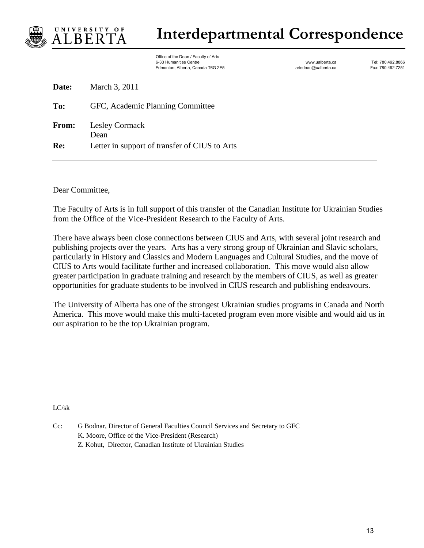

**Date:** March 3, 2011

## **Interdepartmental Correspondence**

Office of the Dean / Faculty of Arts %6-33 Humanities Centre enterprises that the carrest of the www.ualberta.ca Tel: 780.492.8866<br>1623 Edmonton, Alberta, Canada T6G 2E5 Edmonton, Alberta, Canada T6G 2E5 Edmonton, Alberta, Canada T6G 2E5 Edm Edmonton, Alberta, Canada T6G 2E5

| To:   | GFC, Academic Planning Committee              |
|-------|-----------------------------------------------|
| From: | <b>Lesley Cormack</b><br>Dean                 |
| Re:   | Letter in support of transfer of CIUS to Arts |

Dear Committee,

The Faculty of Arts is in full support of this transfer of the Canadian Institute for Ukrainian Studies from the Office of the Vice-President Research to the Faculty of Arts.

There have always been close connections between CIUS and Arts, with several joint research and publishing projects over the years. Arts has a very strong group of Ukrainian and Slavic scholars, particularly in History and Classics and Modern Languages and Cultural Studies, and the move of CIUS to Arts would facilitate further and increased collaboration. This move would also allow greater participation in graduate training and research by the members of CIUS, as well as greater opportunities for graduate students to be involved in CIUS research and publishing endeavours.

The University of Alberta has one of the strongest Ukrainian studies programs in Canada and North America. This move would make this multi-faceted program even more visible and would aid us in our aspiration to be the top Ukrainian program.

LC/sk

Cc: G Bodnar, Director of General Faculties Council Services and Secretary to GFC K. Moore, Office of the Vice-President (Research) Z. Kohut, Director, Canadian Institute of Ukrainian Studies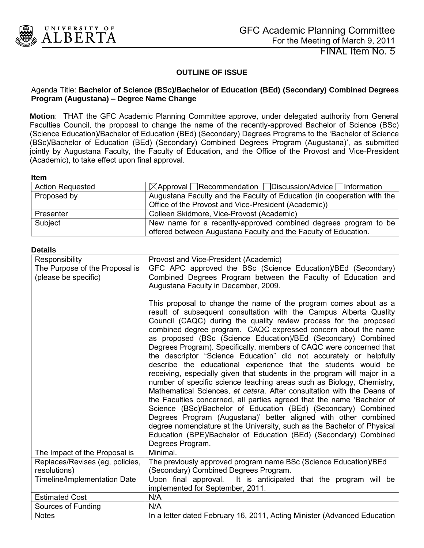<span id="page-14-0"></span>

FINAL Item No. 5

#### **OUTLINE OF ISSUE**

#### Agenda Title: **Bachelor of Science (BSc)/Bachelor of Education (BEd) (Secondary) Combined Degrees Program (Augustana) – Degree Name Change**

**Motion**: THAT the GFC Academic Planning Committee approve, under delegated authority from General Faculties Council, the proposal to change the name of the recently-approved Bachelor of Science (BSc) (Science Education)/Bachelor of Education (BEd) (Secondary) Degrees Programs to the "Bachelor of Science (BSc)/Bachelor of Education (BEd) (Secondary) Combined Degrees Program (Augustana)", as submitted jointly by Augustana Faculty, the Faculty of Education, and the Office of the Provost and Vice-President (Academic), to take effect upon final approval.

#### **Item**

| <b>Action Requested</b> | $\boxtimes$ Approval Recommendation Discussion/Advice Information       |
|-------------------------|-------------------------------------------------------------------------|
| Proposed by             | Augustana Faculty and the Faculty of Education (in cooperation with the |
|                         | Office of the Provost and Vice-President (Academic))                    |
| Presenter               | Colleen Skidmore, Vice-Provost (Academic)                               |
| Subject                 | New name for a recently-approved combined degrees program to be         |
|                         | offered between Augustana Faculty and the Faculty of Education.         |

#### **Details**

| Responsibility                                  | Provost and Vice-President (Academic)                                                                                           |  |  |  |  |  |  |
|-------------------------------------------------|---------------------------------------------------------------------------------------------------------------------------------|--|--|--|--|--|--|
| The Purpose of the Proposal is                  | GFC APC approved the BSc (Science Education)/BEd (Secondary)                                                                    |  |  |  |  |  |  |
| (please be specific)                            | Combined Degrees Program between the Faculty of Education and                                                                   |  |  |  |  |  |  |
|                                                 | Augustana Faculty in December, 2009.                                                                                            |  |  |  |  |  |  |
|                                                 |                                                                                                                                 |  |  |  |  |  |  |
|                                                 | This proposal to change the name of the program comes about as a                                                                |  |  |  |  |  |  |
|                                                 | result of subsequent consultation with the Campus Alberta Quality                                                               |  |  |  |  |  |  |
|                                                 | Council (CAQC) during the quality review process for the proposed                                                               |  |  |  |  |  |  |
|                                                 | combined degree program. CAQC expressed concern about the name<br>as proposed (BSc (Science Education)/BEd (Secondary) Combined |  |  |  |  |  |  |
|                                                 | Degrees Program). Specifically, members of CAQC were concerned that                                                             |  |  |  |  |  |  |
|                                                 | the descriptor "Science Education" did not accurately or helpfully                                                              |  |  |  |  |  |  |
|                                                 | describe the educational experience that the students would be                                                                  |  |  |  |  |  |  |
|                                                 | receiving, especially given that students in the program will major in a                                                        |  |  |  |  |  |  |
|                                                 | number of specific science teaching areas such as Biology, Chemistry,                                                           |  |  |  |  |  |  |
|                                                 | Mathematical Sciences, et cetera. After consultation with the Deans of                                                          |  |  |  |  |  |  |
|                                                 | the Faculties concerned, all parties agreed that the name 'Bachelor of                                                          |  |  |  |  |  |  |
|                                                 | Science (BSc)/Bachelor of Education (BEd) (Secondary) Combined                                                                  |  |  |  |  |  |  |
|                                                 | Degrees Program (Augustana)' better aligned with other combined                                                                 |  |  |  |  |  |  |
|                                                 | degree nomenclature at the University, such as the Bachelor of Physical                                                         |  |  |  |  |  |  |
|                                                 | Education (BPE)/Bachelor of Education (BEd) (Secondary) Combined                                                                |  |  |  |  |  |  |
|                                                 | Degrees Program.                                                                                                                |  |  |  |  |  |  |
| The Impact of the Proposal is                   | Minimal.                                                                                                                        |  |  |  |  |  |  |
| Replaces/Revises (eg. policies,<br>resolutions) | The previously approved program name BSc (Science Education)/BEd<br>(Secondary) Combined Degrees Program.                       |  |  |  |  |  |  |
| <b>Timeline/Implementation Date</b>             | Upon final approval. It is anticipated that the program will be                                                                 |  |  |  |  |  |  |
|                                                 | implemented for September, 2011.                                                                                                |  |  |  |  |  |  |
| <b>Estimated Cost</b>                           | N/A                                                                                                                             |  |  |  |  |  |  |
| Sources of Funding                              | N/A                                                                                                                             |  |  |  |  |  |  |
| <b>Notes</b>                                    | In a letter dated February 16, 2011, Acting Minister (Advanced Education                                                        |  |  |  |  |  |  |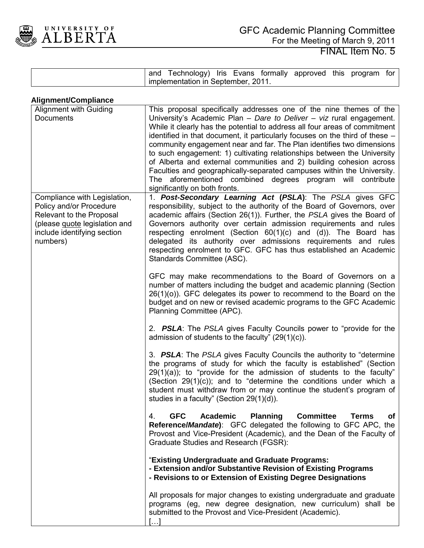

| and | Technology) Iris Evans             |  | formally approved this | program | tor |
|-----|------------------------------------|--|------------------------|---------|-----|
|     | implementation in September, 2011. |  |                        |         |     |

| Alignment/Compliance                                                                                                                                            |                                                                                                                                                                                                                                                                                                                                                                                                                                                                                                                                                                                                                                                                                                               |
|-----------------------------------------------------------------------------------------------------------------------------------------------------------------|---------------------------------------------------------------------------------------------------------------------------------------------------------------------------------------------------------------------------------------------------------------------------------------------------------------------------------------------------------------------------------------------------------------------------------------------------------------------------------------------------------------------------------------------------------------------------------------------------------------------------------------------------------------------------------------------------------------|
| <b>Alignment with Guiding</b><br><b>Documents</b>                                                                                                               | This proposal specifically addresses one of the nine themes of the<br>University's Academic Plan - Dare to Deliver - viz rural engagement.<br>While it clearly has the potential to address all four areas of commitment<br>identified in that document, it particularly focuses on the third of these -<br>community engagement near and far. The Plan identifies two dimensions<br>to such engagement: 1) cultivating relationships between the University<br>of Alberta and external communities and 2) building cohesion across<br>Faculties and geographically-separated campuses within the University.<br>The aforementioned combined degrees program will contribute<br>significantly on both fronts. |
| Compliance with Legislation,<br>Policy and/or Procedure<br>Relevant to the Proposal<br>(please quote legislation and<br>include identifying section<br>numbers) | 1. Post-Secondary Learning Act (PSLA): The PSLA gives GFC<br>responsibility, subject to the authority of the Board of Governors, over<br>academic affairs (Section 26(1)). Further, the PSLA gives the Board of<br>Governors authority over certain admission requirements and rules<br>respecting enrolment (Section $60(1)(c)$ and $(d)$ ). The Board has<br>delegated its authority over admissions requirements and rules<br>respecting enrolment to GFC. GFC has thus established an Academic<br>Standards Committee (ASC).                                                                                                                                                                              |
|                                                                                                                                                                 | GFC may make recommendations to the Board of Governors on a<br>number of matters including the budget and academic planning (Section<br>$26(1)(o)$ ). GFC delegates its power to recommend to the Board on the<br>budget and on new or revised academic programs to the GFC Academic<br>Planning Committee (APC).                                                                                                                                                                                                                                                                                                                                                                                             |
|                                                                                                                                                                 | 2. <b>PSLA:</b> The PSLA gives Faculty Councils power to "provide for the<br>admission of students to the faculty" $(29(1)(c))$ .                                                                                                                                                                                                                                                                                                                                                                                                                                                                                                                                                                             |
|                                                                                                                                                                 | 3. <b>PSLA:</b> The PSLA gives Faculty Councils the authority to "determine"<br>the programs of study for which the faculty is established" (Section<br>$29(1)(a)$ ; to "provide for the admission of students to the faculty"<br>(Section $29(1)(c)$ ); and to "determine the conditions under which a<br>student must withdraw from or may continue the student's program of<br>studies in a faculty" (Section 29(1)(d)).                                                                                                                                                                                                                                                                                   |
|                                                                                                                                                                 | <b>GFC</b><br><b>Academic</b><br><b>Planning</b><br><b>Committee</b><br>4.<br>Terms<br><b>of</b><br><b>Reference/Mandate):</b> GFC delegated the following to GFC APC, the<br>Provost and Vice-President (Academic), and the Dean of the Faculty of<br>Graduate Studies and Research (FGSR):                                                                                                                                                                                                                                                                                                                                                                                                                  |
|                                                                                                                                                                 | "Existing Undergraduate and Graduate Programs:<br>- Extension and/or Substantive Revision of Existing Programs<br>- Revisions to or Extension of Existing Degree Designations                                                                                                                                                                                                                                                                                                                                                                                                                                                                                                                                 |
|                                                                                                                                                                 | All proposals for major changes to existing undergraduate and graduate<br>programs (eg, new degree designation, new curriculum) shall be<br>submitted to the Provost and Vice-President (Academic).<br>$\left[\ldots\right]$                                                                                                                                                                                                                                                                                                                                                                                                                                                                                  |